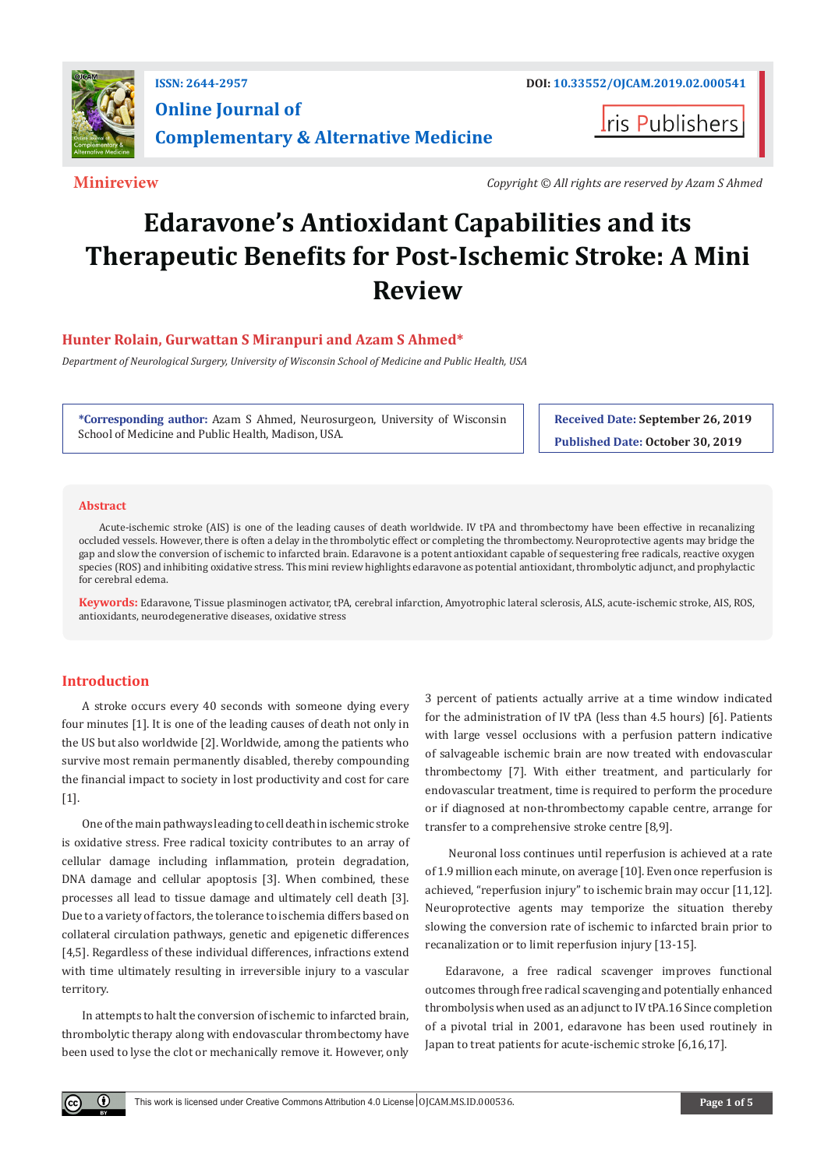

**I**ris Publishers

**Minireview** *Copyright © All rights are reserved by Azam S Ahmed*

# **Edaravone's Antioxidant Capabilities and its Therapeutic Benefits for Post-Ischemic Stroke: A Mini Review**

# **Hunter Rolain, Gurwattan S Miranpuri and Azam S Ahmed\***

*Department of Neurological Surgery, University of Wisconsin School of Medicine and Public Health, USA*

**\*Corresponding author:** Azam S Ahmed, Neurosurgeon, University of Wisconsin School of Medicine and Public Health, Madison, USA.

**Received Date: September 26, 2019 Published Date: October 30, 2019**

#### **Abstract**

Acute-ischemic stroke (AIS) is one of the leading causes of death worldwide. IV tPA and thrombectomy have been effective in recanalizing occluded vessels. However, there is often a delay in the thrombolytic effect or completing the thrombectomy. Neuroprotective agents may bridge the gap and slow the conversion of ischemic to infarcted brain. Edaravone is a potent antioxidant capable of sequestering free radicals, reactive oxygen species (ROS) and inhibiting oxidative stress. This mini review highlights edaravone as potential antioxidant, thrombolytic adjunct, and prophylactic for cerebral edema.

**Keywords:** Edaravone, Tissue plasminogen activator, tPA, cerebral infarction, Amyotrophic lateral sclerosis, ALS, acute-ischemic stroke, AIS, ROS, antioxidants, neurodegenerative diseases, oxidative stress

## **Introduction**

 $\left( \mathbf{r} \right)$ 

A stroke occurs every 40 seconds with someone dying every four minutes [1]. It is one of the leading causes of death not only in the US but also worldwide [2]. Worldwide, among the patients who survive most remain permanently disabled, thereby compounding the financial impact to society in lost productivity and cost for care [1].

One of the main pathways leading to cell death in ischemic stroke is oxidative stress. Free radical toxicity contributes to an array of cellular damage including inflammation, protein degradation, DNA damage and cellular apoptosis [3]. When combined, these processes all lead to tissue damage and ultimately cell death [3]. Due to a variety of factors, the tolerance to ischemia differs based on collateral circulation pathways, genetic and epigenetic differences [4,5]. Regardless of these individual differences, infractions extend with time ultimately resulting in irreversible injury to a vascular territory.

In attempts to halt the conversion of ischemic to infarcted brain, thrombolytic therapy along with endovascular thrombectomy have been used to lyse the clot or mechanically remove it. However, only

3 percent of patients actually arrive at a time window indicated for the administration of IV tPA (less than 4.5 hours) [6]. Patients with large vessel occlusions with a perfusion pattern indicative of salvageable ischemic brain are now treated with endovascular thrombectomy [7]. With either treatment, and particularly for endovascular treatment, time is required to perform the procedure or if diagnosed at non-thrombectomy capable centre, arrange for transfer to a comprehensive stroke centre [8,9].

 Neuronal loss continues until reperfusion is achieved at a rate of 1.9 million each minute, on average [10]. Even once reperfusion is achieved, "reperfusion injury" to ischemic brain may occur [11,12]. Neuroprotective agents may temporize the situation thereby slowing the conversion rate of ischemic to infarcted brain prior to recanalization or to limit reperfusion injury [13-15].

Edaravone, a free radical scavenger improves functional outcomes through free radical scavenging and potentially enhanced thrombolysis when used as an adjunct to IV tPA.16 Since completion of a pivotal trial in 2001, edaravone has been used routinely in Japan to treat patients for acute-ischemic stroke [6,16,17].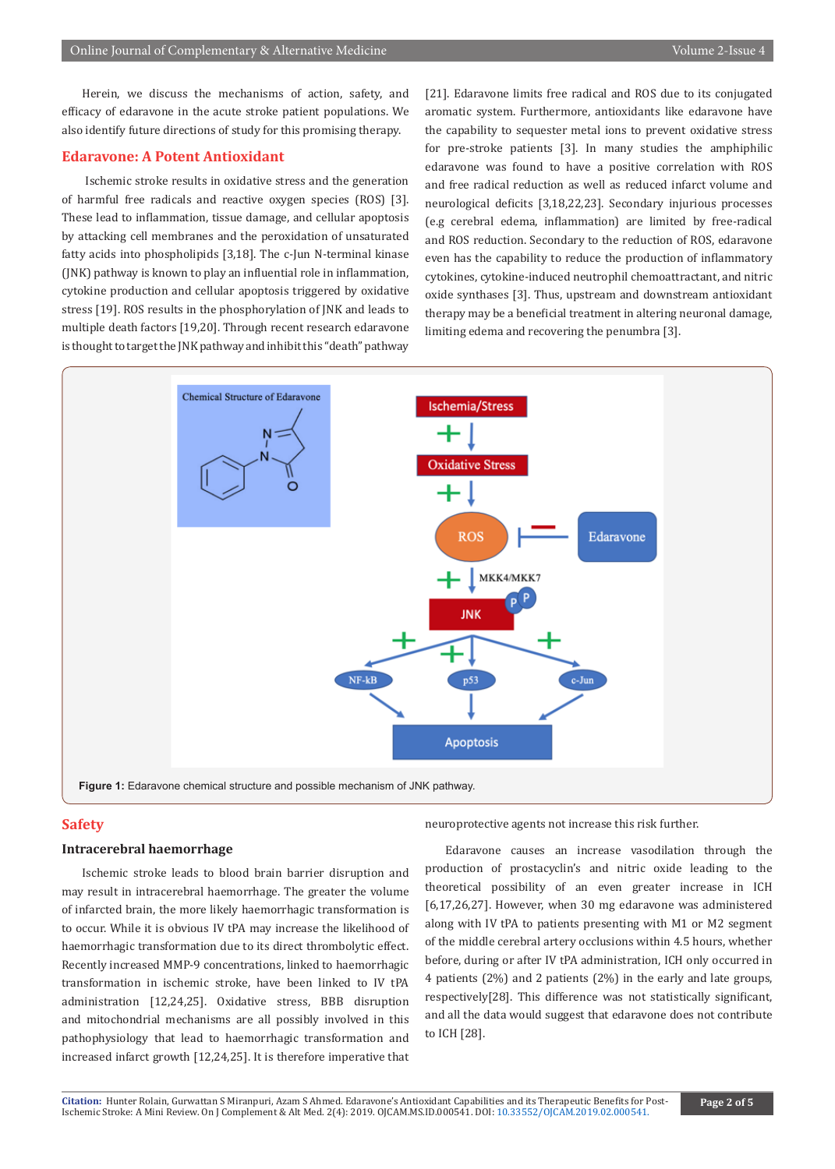Herein, we discuss the mechanisms of action, safety, and efficacy of edaravone in the acute stroke patient populations. We also identify future directions of study for this promising therapy.

# **Edaravone: A Potent Antioxidant**

 Ischemic stroke results in oxidative stress and the generation of harmful free radicals and reactive oxygen species (ROS) [3]. These lead to inflammation, tissue damage, and cellular apoptosis by attacking cell membranes and the peroxidation of unsaturated fatty acids into phospholipids [3,18]. The c-Jun N-terminal kinase (JNK) pathway is known to play an influential role in inflammation, cytokine production and cellular apoptosis triggered by oxidative stress [19]. ROS results in the phosphorylation of JNK and leads to multiple death factors [19,20]. Through recent research edaravone is thought to target the JNK pathway and inhibit this "death" pathway

[21]. Edaravone limits free radical and ROS due to its conjugated aromatic system. Furthermore, antioxidants like edaravone have the capability to sequester metal ions to prevent oxidative stress for pre-stroke patients [3]. In many studies the amphiphilic edaravone was found to have a positive correlation with ROS and free radical reduction as well as reduced infarct volume and neurological deficits [3,18,22,23]. Secondary injurious processes (e.g cerebral edema, inflammation) are limited by free-radical and ROS reduction. Secondary to the reduction of ROS, edaravone even has the capability to reduce the production of inflammatory cytokines, cytokine-induced neutrophil chemoattractant, and nitric oxide synthases [3]. Thus, upstream and downstream antioxidant therapy may be a beneficial treatment in altering neuronal damage, limiting edema and recovering the penumbra [3].



# **Safety**

## **Intracerebral haemorrhage**

Ischemic stroke leads to blood brain barrier disruption and may result in intracerebral haemorrhage. The greater the volume of infarcted brain, the more likely haemorrhagic transformation is to occur. While it is obvious IV tPA may increase the likelihood of haemorrhagic transformation due to its direct thrombolytic effect. Recently increased MMP-9 concentrations, linked to haemorrhagic transformation in ischemic stroke, have been linked to IV tPA administration [12,24,25]. Oxidative stress, BBB disruption and mitochondrial mechanisms are all possibly involved in this pathophysiology that lead to haemorrhagic transformation and increased infarct growth [12,24,25]. It is therefore imperative that

neuroprotective agents not increase this risk further.

Edaravone causes an increase vasodilation through the production of prostacyclin's and nitric oxide leading to the theoretical possibility of an even greater increase in ICH [6,17,26,27]. However, when 30 mg edaravone was administered along with IV tPA to patients presenting with M1 or M2 segment of the middle cerebral artery occlusions within 4.5 hours, whether before, during or after IV tPA administration, ICH only occurred in 4 patients (2%) and 2 patients (2%) in the early and late groups, respectively[28]. This difference was not statistically significant, and all the data would suggest that edaravone does not contribute to ICH [28].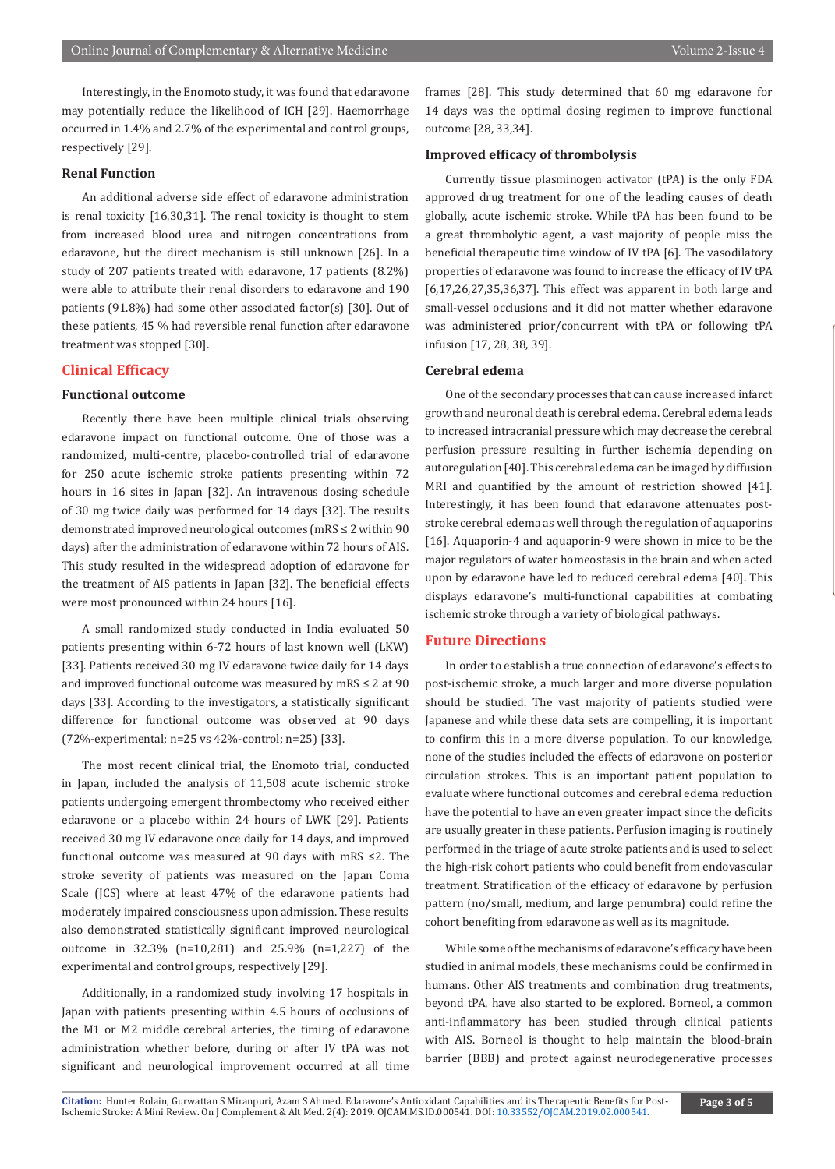Interestingly, in the Enomoto study, it was found that edaravone may potentially reduce the likelihood of ICH [29]. Haemorrhage occurred in 1.4% and 2.7% of the experimental and control groups, respectively [29].

# **Renal Function**

An additional adverse side effect of edaravone administration is renal toxicity [16,30,31]. The renal toxicity is thought to stem from increased blood urea and nitrogen concentrations from edaravone, but the direct mechanism is still unknown [26]. In a study of 207 patients treated with edaravone, 17 patients (8.2%) were able to attribute their renal disorders to edaravone and 190 patients (91.8%) had some other associated factor(s) [30]. Out of these patients, 45 % had reversible renal function after edaravone treatment was stopped [30].

## **Clinical Efficacy**

## **Functional outcome**

Recently there have been multiple clinical trials observing edaravone impact on functional outcome. One of those was a randomized, multi-centre, placebo-controlled trial of edaravone for 250 acute ischemic stroke patients presenting within 72 hours in 16 sites in Japan [32]. An intravenous dosing schedule of 30 mg twice daily was performed for 14 days [32]. The results demonstrated improved neurological outcomes (mRS ≤ 2 within 90 days) after the administration of edaravone within 72 hours of AIS. This study resulted in the widespread adoption of edaravone for the treatment of AIS patients in Japan [32]. The beneficial effects were most pronounced within 24 hours [16].

A small randomized study conducted in India evaluated 50 patients presenting within 6-72 hours of last known well (LKW) [33]. Patients received 30 mg IV edaravone twice daily for 14 days and improved functional outcome was measured by mRS  $\leq 2$  at 90 days [33]. According to the investigators, a statistically significant difference for functional outcome was observed at 90 days (72%-experimental; n=25 vs 42%-control; n=25) [33].

The most recent clinical trial, the Enomoto trial, conducted in Japan, included the analysis of 11,508 acute ischemic stroke patients undergoing emergent thrombectomy who received either edaravone or a placebo within 24 hours of LWK [29]. Patients received 30 mg IV edaravone once daily for 14 days, and improved functional outcome was measured at 90 days with mRS ≤2. The stroke severity of patients was measured on the Japan Coma Scale (JCS) where at least 47% of the edaravone patients had moderately impaired consciousness upon admission. These results also demonstrated statistically significant improved neurological outcome in 32.3% (n=10,281) and 25.9% (n=1,227) of the experimental and control groups, respectively [29].

Additionally, in a randomized study involving 17 hospitals in Japan with patients presenting within 4.5 hours of occlusions of the M1 or M2 middle cerebral arteries, the timing of edaravone administration whether before, during or after IV tPA was not significant and neurological improvement occurred at all time

frames [28]. This study determined that 60 mg edaravone for 14 days was the optimal dosing regimen to improve functional outcome [28, 33,34].

## **Improved efficacy of thrombolysis**

Currently tissue plasminogen activator (tPA) is the only FDA approved drug treatment for one of the leading causes of death globally, acute ischemic stroke. While tPA has been found to be a great thrombolytic agent, a vast majority of people miss the beneficial therapeutic time window of IV tPA [6]. The vasodilatory properties of edaravone was found to increase the efficacy of IV tPA [6,17,26,27,35,36,37]. This effect was apparent in both large and small-vessel occlusions and it did not matter whether edaravone was administered prior/concurrent with tPA or following tPA infusion [17, 28, 38, 39].

### **Cerebral edema**

One of the secondary processes that can cause increased infarct growth and neuronal death is cerebral edema. Cerebral edema leads to increased intracranial pressure which may decrease the cerebral perfusion pressure resulting in further ischemia depending on autoregulation [40]. This cerebral edema can be imaged by diffusion MRI and quantified by the amount of restriction showed [41]. Interestingly, it has been found that edaravone attenuates poststroke cerebral edema as well through the regulation of aquaporins [16]. Aquaporin-4 and aquaporin-9 were shown in mice to be the major regulators of water homeostasis in the brain and when acted upon by edaravone have led to reduced cerebral edema [40]. This displays edaravone's multi-functional capabilities at combating ischemic stroke through a variety of biological pathways.

## **Future Directions**

In order to establish a true connection of edaravone's effects to post-ischemic stroke, a much larger and more diverse population should be studied. The vast majority of patients studied were Japanese and while these data sets are compelling, it is important to confirm this in a more diverse population. To our knowledge, none of the studies included the effects of edaravone on posterior circulation strokes. This is an important patient population to evaluate where functional outcomes and cerebral edema reduction have the potential to have an even greater impact since the deficits are usually greater in these patients. Perfusion imaging is routinely performed in the triage of acute stroke patients and is used to select the high-risk cohort patients who could benefit from endovascular treatment. Stratification of the efficacy of edaravone by perfusion pattern (no/small, medium, and large penumbra) could refine the cohort benefiting from edaravone as well as its magnitude.

While some of the mechanisms of edaravone's efficacy have been studied in animal models, these mechanisms could be confirmed in humans. Other AIS treatments and combination drug treatments, beyond tPA, have also started to be explored. Borneol, a common anti-inflammatory has been studied through clinical patients with AIS. Borneol is thought to help maintain the blood-brain barrier (BBB) and protect against neurodegenerative processes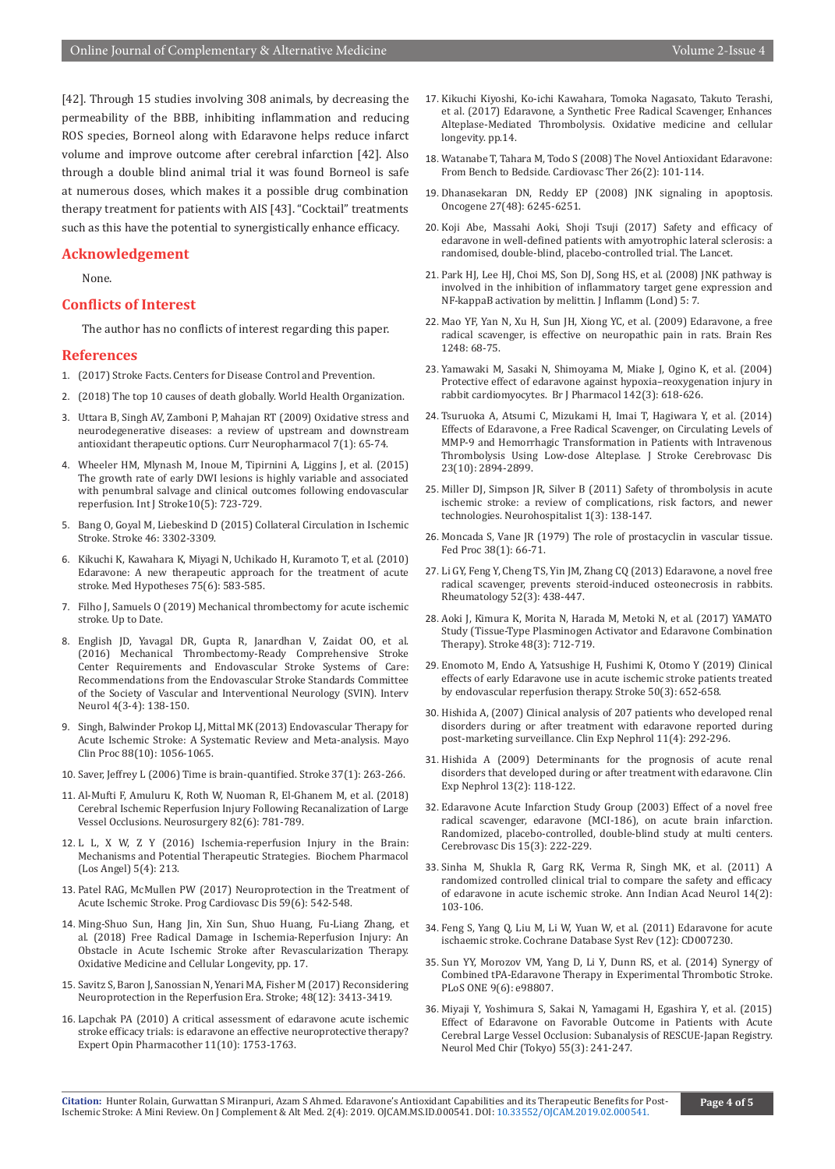[42]. Through 15 studies involving 308 animals, by decreasing the permeability of the BBB, inhibiting inflammation and reducing ROS species, Borneol along with Edaravone helps reduce infarct volume and improve outcome after cerebral infarction [42]. Also through a double blind animal trial it was found Borneol is safe at numerous doses, which makes it a possible drug combination therapy treatment for patients with AIS [43]. "Cocktail" treatments such as this have the potential to synergistically enhance efficacy.

### **Acknowledgement**

None.

## **Conflicts of Interest**

The author has no conflicts of interest regarding this paper.

# **References**

- 1. (2017) Stroke Facts. Centers for Disease Control and Prevention.
- 2. (2018) The top 10 causes of death globally. World Health Organization.
- 3. [Uttara B, Singh AV, Zamboni P, Mahajan RT \(2009\) Oxidative stress and](https://www.ncbi.nlm.nih.gov/pubmed/19721819) [neurodegenerative diseases: a review of upstream and downstream](https://www.ncbi.nlm.nih.gov/pubmed/19721819) [antioxidant therapeutic options. Curr Neuropharmacol 7\(1\): 65-74.](https://www.ncbi.nlm.nih.gov/pubmed/19721819)
- 4. [Wheeler HM, Mlynash M, Inoue M, Tipirnini A, Liggins J, et al. \(2015\)](https://www.ncbi.nlm.nih.gov/pubmed/25580662) [The growth rate of early DWI lesions is highly variable and associated](https://www.ncbi.nlm.nih.gov/pubmed/25580662) [with penumbral salvage and clinical outcomes following endovascular](https://www.ncbi.nlm.nih.gov/pubmed/25580662) [reperfusion. Int J Stroke10\(5\): 723-729.](https://www.ncbi.nlm.nih.gov/pubmed/25580662)
- 5. Bang O, Goyal M, Liebeskind D (2015) Collateral Circulation in Ischemic Stroke. Stroke 46: 3302-3309.
- 6. [Kikuchi K, Kawahara K, Miyagi N, Uchikado H, Kuramoto T, et al. \(2010\)](https://www.ncbi.nlm.nih.gov/pubmed/20728280) [Edaravone: A new therapeutic approach for the treatment of acute](https://www.ncbi.nlm.nih.gov/pubmed/20728280) [stroke. Med Hypotheses 75\(6\): 583-585.](https://www.ncbi.nlm.nih.gov/pubmed/20728280)
- 7. Filho J, Samuels O (2019) Mechanical thrombectomy for acute ischemic stroke. Up to Date.
- 8. [English JD, Yavagal DR, Gupta R,](https://www.ncbi.nlm.nih.gov/pubmed/27051410) Janardhan V, Zaidat OO, et al. [\(2016\) Mechanical Thrombectomy-Ready Comprehensive Stroke](https://www.ncbi.nlm.nih.gov/pubmed/27051410) [Center Requirements and Endovascular Stroke Systems of Care:](https://www.ncbi.nlm.nih.gov/pubmed/27051410) [Recommendations from the Endovascular Stroke Standards Committee](https://www.ncbi.nlm.nih.gov/pubmed/27051410) [of the Society of Vascular and Interventional Neurology \(SVIN\). Interv](https://www.ncbi.nlm.nih.gov/pubmed/27051410) [Neurol 4\(3-4\): 138-150.](https://www.ncbi.nlm.nih.gov/pubmed/27051410)
- 9. [Singh, Balwinder Prokop LJ, Mittal MK \(2013\) Endovascular Therapy for](https://www.ncbi.nlm.nih.gov/pubmed/24079677) [Acute Ischemic Stroke: A Systematic Review and Meta-analysis. Mayo](https://www.ncbi.nlm.nih.gov/pubmed/24079677) [Clin Proc 88\(10\): 1056-1065.](https://www.ncbi.nlm.nih.gov/pubmed/24079677)
- 10. Saver, Jeffrey L (2006) Time is brain-quantified. Stroke 37(1): 263-266.
- 11. [Al-Mufti F, Amuluru K, Roth W, Nuoman R, El-Ghanem M, et al. \(2018\)](https://www.ncbi.nlm.nih.gov/pubmed/28973661) [Cerebral Ischemic Reperfusion Injury Following Recanalization of Large](https://www.ncbi.nlm.nih.gov/pubmed/28973661) [Vessel Occlusions. Neurosurgery 82\(6\): 781-789.](https://www.ncbi.nlm.nih.gov/pubmed/28973661)
- 12. [L L, X W, Z Y \(2016\) Ischemia-reperfusion Injury in the Brain:](https://www.ncbi.nlm.nih.gov/pubmed/29888120) [Mechanisms and Potential Therapeutic Strategies. Biochem Pharmacol](https://www.ncbi.nlm.nih.gov/pubmed/29888120) [\(Los Angel\) 5\(4\): 213.](https://www.ncbi.nlm.nih.gov/pubmed/29888120)
- 13. [Patel RAG, McMullen PW \(2017\) Neuroprotection in the Treatment of](https://www.ncbi.nlm.nih.gov/pubmed/28465001) [Acute Ischemic Stroke. Prog Cardiovasc Dis 59\(6\): 542-548.](https://www.ncbi.nlm.nih.gov/pubmed/28465001)
- 14. [Ming-Shuo Sun, Hang Jin, Xin Sun, Shuo Huang, Fu-Liang Zhang, et](https://www.hindawi.com/journals/omcl/2018/3804979/) al. [\(2018\) Free Radical Damage in Ischemia-Reperfusion Injury: An](https://www.hindawi.com/journals/omcl/2018/3804979/) [Obstacle in Acute Ischemic Stroke after Revascularization Therapy.](https://www.hindawi.com/journals/omcl/2018/3804979/) [Oxidative Medicine and Cellular Longevity, pp. 17.](https://www.hindawi.com/journals/omcl/2018/3804979/)
- 15. [Savitz S, Baron J, Sanossian N, Yenari MA, Fisher M \(2017\) Reconsidering](https://www.ncbi.nlm.nih.gov/pubmed/29146878) [Neuroprotection in the Reperfusion Era. Stroke; 48\(12\): 3413-3419.](https://www.ncbi.nlm.nih.gov/pubmed/29146878)
- 16. [Lapchak PA \(2010\) A critical assessment of edaravone acute ischemic](https://www.ncbi.nlm.nih.gov/pubmed/20491547) [stroke efficacy trials: is edaravone an effective neuroprotective therapy?](https://www.ncbi.nlm.nih.gov/pubmed/20491547) [Expert Opin Pharmacother 11\(10\): 1753-1763.](https://www.ncbi.nlm.nih.gov/pubmed/20491547)
- 17. [Kikuchi Kiyoshi, Ko-ichi Kawahara, Tomoka Nagasato,](https://www.hindawi.com/journals/omcl/2017/6873281/) Takuto Terashi, [et al. \(2017\) Edaravone, a Synthetic Free Radical Scavenger, Enhances](https://www.hindawi.com/journals/omcl/2017/6873281/)  [Alteplase-Mediated Thrombolysis. Oxidative medicine and cellular](https://www.hindawi.com/journals/omcl/2017/6873281/)  [longevity. pp.14.](https://www.hindawi.com/journals/omcl/2017/6873281/)
- 18. [Watanabe T, Tahara M, Todo S \(2008\) The Novel Antioxidant Edaravone:](https://www.ncbi.nlm.nih.gov/pubmed/18485133)  [From Bench to Bedside. Cardiovasc Ther 26\(2\): 101-114.](https://www.ncbi.nlm.nih.gov/pubmed/18485133)
- 19. [Dhanasekaran DN, Reddy EP \(2008\) JNK signaling in apoptosis.](https://www.ncbi.nlm.nih.gov/pubmed/18931691)  [Oncogene 27\(48\): 6245-6251.](https://www.ncbi.nlm.nih.gov/pubmed/18931691)
- 20. Koji Abe, Massahi Aoki, Shoji Tsuji (2017) Safety and efficacy of edaravone in well-defined patients with amyotrophic lateral sclerosis: a randomised, double-blind, placebo-controlled trial. The Lancet.
- 21. [Park HJ, Lee HJ, Choi MS, Son DJ, Song HS, et al. \(2008\) JNK pathway is](https://www.ncbi.nlm.nih.gov/pubmed/18507870)  [involved in the inhibition of inflammatory target gene expression and](https://www.ncbi.nlm.nih.gov/pubmed/18507870)  [NF-kappaB activation by melittin. J Inflamm \(Lond\) 5: 7.](https://www.ncbi.nlm.nih.gov/pubmed/18507870)
- 22. [Mao YF, Yan N, Xu H, Sun JH, Xiong YC, et al. \(2009\) Edaravone, a free](https://www.ncbi.nlm.nih.gov/pubmed/19028459)  [radical scavenger, is effective on neuropathic pain in rats. Brain Res](https://www.ncbi.nlm.nih.gov/pubmed/19028459)  [1248: 68-75.](https://www.ncbi.nlm.nih.gov/pubmed/19028459)
- 23. [Yamawaki M, Sasaki N, Shimoyama M, Miake J, Ogino K, et al. \(2004\)](https://www.ncbi.nlm.nih.gov/pubmed/15148265)  [Protective effect of edaravone against hypoxia–reoxygenation injury in](https://www.ncbi.nlm.nih.gov/pubmed/15148265)  [rabbit cardiomyocytes. Br J Pharmacol 142\(3\): 618-626.](https://www.ncbi.nlm.nih.gov/pubmed/15148265)
- 24. [Tsuruoka A, Atsumi C, Mizukami H,](https://www.ncbi.nlm.nih.gov/pubmed/25282183) Imai T, Hagiwara Y, et al. (2014) [Effects of Edaravone, a Free Radical Scavenger, on Circulating Levels of](https://www.ncbi.nlm.nih.gov/pubmed/25282183)  [MMP-9 and Hemorrhagic Transformation in Patients with Intravenous](https://www.ncbi.nlm.nih.gov/pubmed/25282183)  [Thrombolysis Using Low-dose Alteplase. J Stroke Cerebrovasc Dis](https://www.ncbi.nlm.nih.gov/pubmed/25282183)  [23\(10\): 2894-2899.](https://www.ncbi.nlm.nih.gov/pubmed/25282183)
- 25. [Miller DJ, Simpson JR, Silver B \(2011\) Safety of thrombolysis in acute](https://www.ncbi.nlm.nih.gov/pubmed/23983849)  [ischemic stroke: a review of complications, risk factors, and newer](https://www.ncbi.nlm.nih.gov/pubmed/23983849)  [technologies. Neurohospitalist 1\(3\): 138-147.](https://www.ncbi.nlm.nih.gov/pubmed/23983849)
- 26. [Moncada S, Vane JR \(1979\) The role of prostacyclin in vascular tissue.](https://www.ncbi.nlm.nih.gov/pubmed/215463)  [Fed Proc 38\(1\): 66-71.](https://www.ncbi.nlm.nih.gov/pubmed/215463)
- 27. [Li GY, Feng Y, Cheng TS, Yin JM, Zhang CQ \(2013\) Edaravone, a novel free](https://www.ncbi.nlm.nih.gov/pubmed/23173187)  [radical scavenger, prevents steroid-induced osteonecrosis in rabbits.](https://www.ncbi.nlm.nih.gov/pubmed/23173187)  [Rheumatology 52\(3\): 438-447.](https://www.ncbi.nlm.nih.gov/pubmed/23173187)
- 28. [Aoki J, Kimura K, Morita N, Harada M, Metoki N, et al. \(2017\) YAMATO](https://www.ncbi.nlm.nih.gov/pubmed/28119434)  [Study \(Tissue-Type Plasminogen Activator and Edaravone Combination](https://www.ncbi.nlm.nih.gov/pubmed/28119434)  [Therapy\). Stroke 48\(3\): 712-719.](https://www.ncbi.nlm.nih.gov/pubmed/28119434)
- 29. Enomoto M, Endo A, Yatsushige H, [Fushimi K, Otomo Y \(2019\) Clinical](https://www.ncbi.nlm.nih.gov/pubmed/30741623)  [effects of early Edaravone use in acute ischemic stroke patients treated](https://www.ncbi.nlm.nih.gov/pubmed/30741623)  [by endovascular reperfusion therapy. Stroke 50\(3\): 652-658.](https://www.ncbi.nlm.nih.gov/pubmed/30741623)
- 30. [Hishida A, \(2007\) Clinical analysis of 207 patients who developed renal](https://www.ncbi.nlm.nih.gov/pubmed/18085390)  [disorders during or after treatment with edaravone reported during](https://www.ncbi.nlm.nih.gov/pubmed/18085390)  [post-marketing surveillance. Clin Exp Nephrol 11\(4\): 292-296.](https://www.ncbi.nlm.nih.gov/pubmed/18085390)
- 31. [Hishida A \(2009\) Determinants for the prognosis of acute renal](https://www.ncbi.nlm.nih.gov/pubmed/19057980)  [disorders that developed during or after treatment with edaravone. Clin](https://www.ncbi.nlm.nih.gov/pubmed/19057980)  [Exp Nephrol 13\(2\): 118-122.](https://www.ncbi.nlm.nih.gov/pubmed/19057980)
- 32. [Edaravone Acute Infarction Study Group \(2003\) Effect of a novel free](https://www.ncbi.nlm.nih.gov/pubmed/12715790)  [radical scavenger, edaravone \(MCI-186\), on acute brain infarction.](https://www.ncbi.nlm.nih.gov/pubmed/12715790)  [Randomized, placebo-controlled, double-blind study at multi centers.](https://www.ncbi.nlm.nih.gov/pubmed/12715790)  [Cerebrovasc Dis 15\(3\): 222-229.](https://www.ncbi.nlm.nih.gov/pubmed/12715790)
- 33. [Sinha M, Shukla R, Garg RK, Verma R, Singh MK, et al. \(2011\) A](https://www.ncbi.nlm.nih.gov/pubmed/21808471)  [randomized controlled clinical trial to compare the safety and efficacy](https://www.ncbi.nlm.nih.gov/pubmed/21808471)  [of edaravone in acute ischemic stroke. Ann Indian Acad Neurol 14\(2\):](https://www.ncbi.nlm.nih.gov/pubmed/21808471)  [103-106.](https://www.ncbi.nlm.nih.gov/pubmed/21808471)
- 34. [Feng S, Yang Q, Liu M, Li W, Yuan W, et al. \(2011\) Edaravone for acute](https://www.ncbi.nlm.nih.gov/pubmed/22161410)  [ischaemic stroke. Cochrane Database Syst Rev \(12\): CD007230.](https://www.ncbi.nlm.nih.gov/pubmed/22161410)
- 35. [Sun YY, Morozov VM, Yang D, Li Y, Dunn RS, et al. \(2014\) Synergy of](https://www.ncbi.nlm.nih.gov/pubmed/24911517)  [Combined tPA-Edaravone Therapy in Experimental Thrombotic Stroke.](https://www.ncbi.nlm.nih.gov/pubmed/24911517)  [PLoS ONE 9\(6\): e98807.](https://www.ncbi.nlm.nih.gov/pubmed/24911517)
- 36. [Miyaji Y, Yoshimura S, Sakai N, Yamagami H, Egashira Y, et al. \(2015\)](https://www.ncbi.nlm.nih.gov/pubmed/25739433)  [Effect of Edaravone on Favorable Outcome in Patients with Acute](https://www.ncbi.nlm.nih.gov/pubmed/25739433)  [Cerebral Large Vessel Occlusion: Subanalysis of RESCUE-Japan Registry.](https://www.ncbi.nlm.nih.gov/pubmed/25739433)  [Neurol Med Chir \(Tokyo\) 55\(3\): 241-247.](https://www.ncbi.nlm.nih.gov/pubmed/25739433)